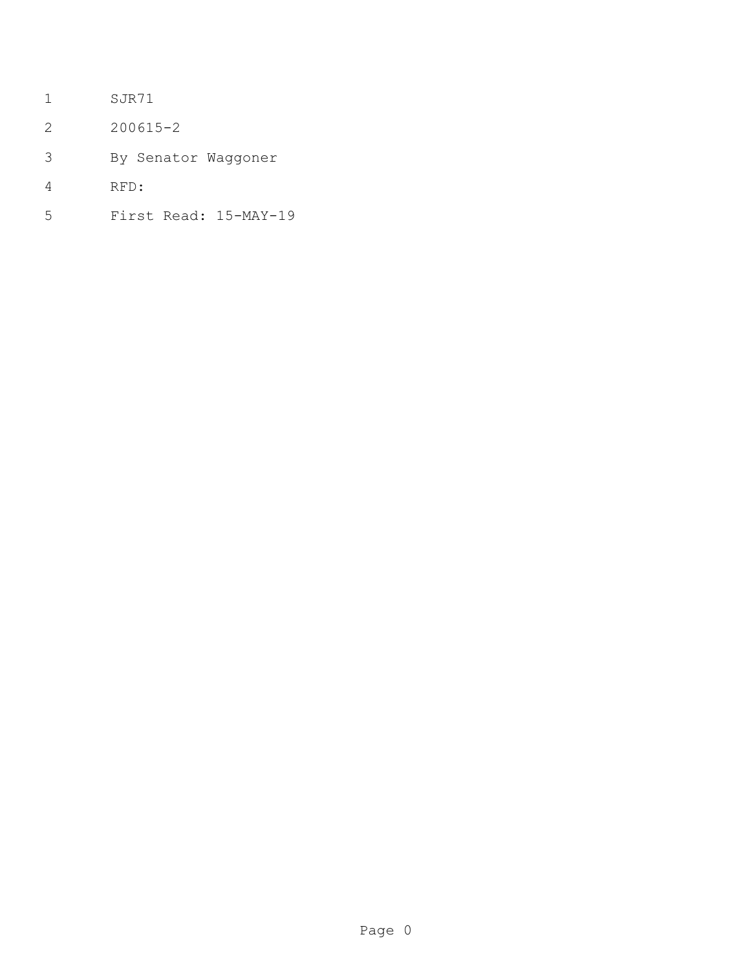- SJR71
- 200615-2
- By Senator Waggoner
- RFD:
- First Read: 15-MAY-19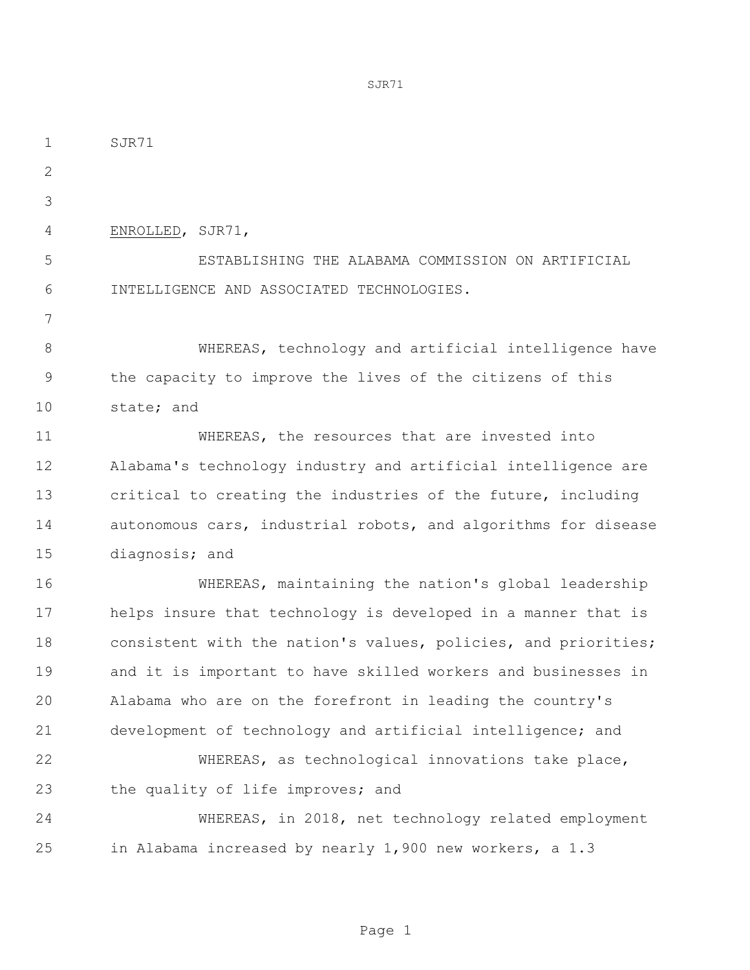SJR71 ENROLLED, SJR71, ESTABLISHING THE ALABAMA COMMISSION ON ARTIFICIAL INTELLIGENCE AND ASSOCIATED TECHNOLOGIES. 8 WHEREAS, technology and artificial intelligence have the capacity to improve the lives of the citizens of this state; and WHEREAS, the resources that are invested into Alabama's technology industry and artificial intelligence are critical to creating the industries of the future, including autonomous cars, industrial robots, and algorithms for disease diagnosis; and WHEREAS, maintaining the nation's global leadership helps insure that technology is developed in a manner that is consistent with the nation's values, policies, and priorities; and it is important to have skilled workers and businesses in Alabama who are on the forefront in leading the country's development of technology and artificial intelligence; and WHEREAS, as technological innovations take place, 23 the quality of life improves; and WHEREAS, in 2018, net technology related employment in Alabama increased by nearly 1,900 new workers, a 1.3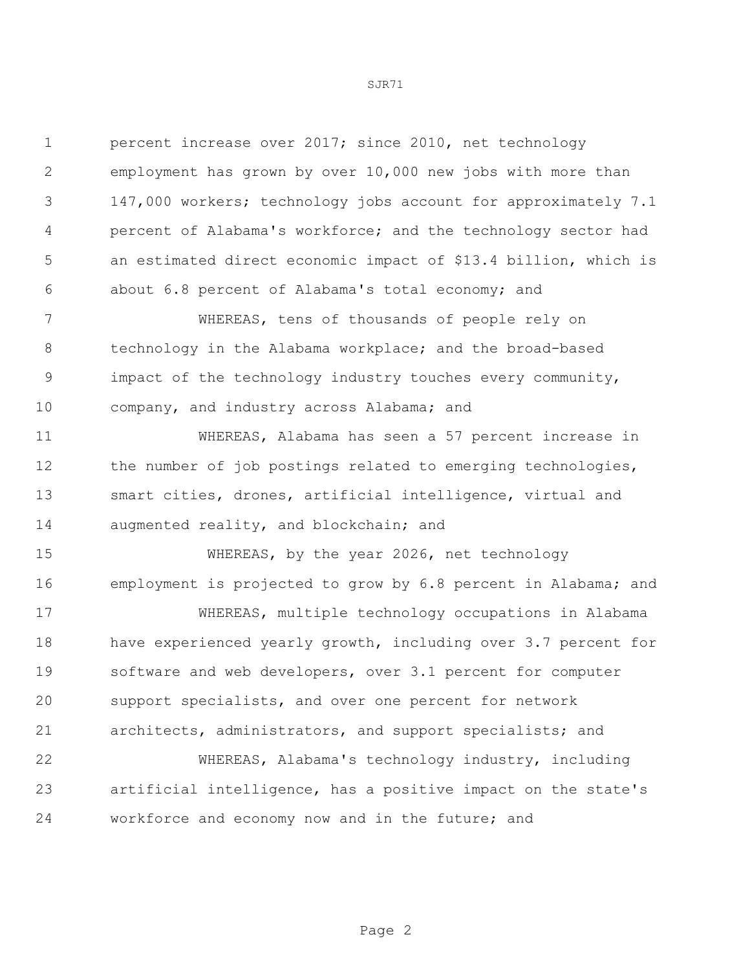| 1            | percent increase over 2017; since 2010, net technology          |
|--------------|-----------------------------------------------------------------|
| $\mathbf{2}$ | employment has grown by over 10,000 new jobs with more than     |
| 3            | 147,000 workers; technology jobs account for approximately 7.1  |
| 4            | percent of Alabama's workforce; and the technology sector had   |
| 5            | an estimated direct economic impact of \$13.4 billion, which is |
| 6            | about 6.8 percent of Alabama's total economy; and               |
| 7            | WHEREAS, tens of thousands of people rely on                    |
| 8            | technology in the Alabama workplace; and the broad-based        |
| $\mathsf 9$  | impact of the technology industry touches every community,      |
| 10           | company, and industry across Alabama; and                       |
| 11           | WHEREAS, Alabama has seen a 57 percent increase in              |
| 12           | the number of job postings related to emerging technologies,    |
| 13           | smart cities, drones, artificial intelligence, virtual and      |
| 14           | augmented reality, and blockchain; and                          |
| 15           | WHEREAS, by the year 2026, net technology                       |
| 16           | employment is projected to grow by 6.8 percent in Alabama; and  |
| 17           | WHEREAS, multiple technology occupations in Alabama             |
| 18           | have experienced yearly growth, including over 3.7 percent for  |
| 19           | software and web developers, over 3.1 percent for computer      |
| 20           | support specialists, and over one percent for network           |
| 21           | architects, administrators, and support specialists; and        |
| 22           | WHEREAS, Alabama's technology industry, including               |
| 23           | artificial intelligence, has a positive impact on the state's   |
| 24           | workforce and economy now and in the future; and                |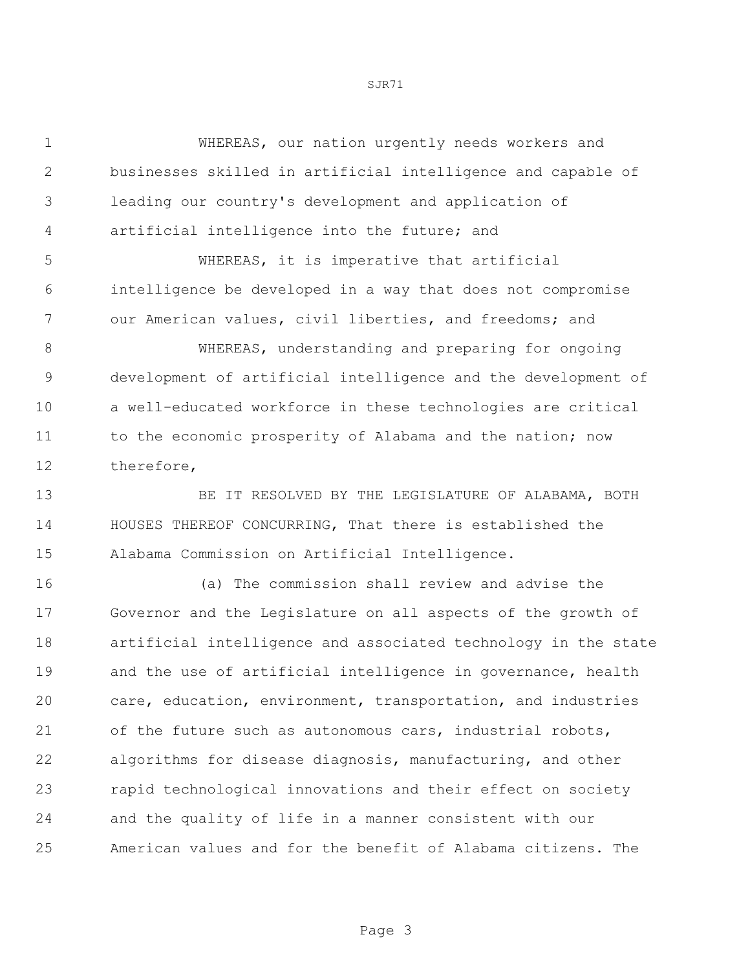WHEREAS, our nation urgently needs workers and businesses skilled in artificial intelligence and capable of leading our country's development and application of artificial intelligence into the future; and

 WHEREAS, it is imperative that artificial intelligence be developed in a way that does not compromise our American values, civil liberties, and freedoms; and

 WHEREAS, understanding and preparing for ongoing development of artificial intelligence and the development of a well-educated workforce in these technologies are critical 11 to the economic prosperity of Alabama and the nation; now therefore,

 BE IT RESOLVED BY THE LEGISLATURE OF ALABAMA, BOTH HOUSES THEREOF CONCURRING, That there is established the Alabama Commission on Artificial Intelligence.

 (a) The commission shall review and advise the Governor and the Legislature on all aspects of the growth of artificial intelligence and associated technology in the state 19 and the use of artificial intelligence in governance, health care, education, environment, transportation, and industries of the future such as autonomous cars, industrial robots, algorithms for disease diagnosis, manufacturing, and other rapid technological innovations and their effect on society and the quality of life in a manner consistent with our American values and for the benefit of Alabama citizens. The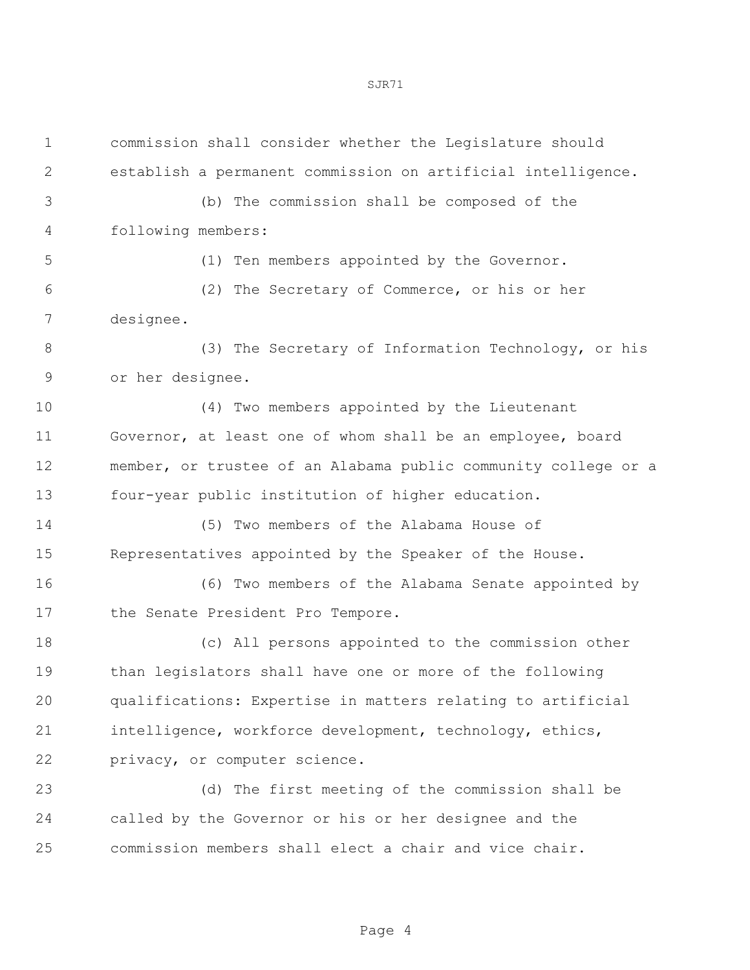| $\mathbf 1$   | commission shall consider whether the Legislature should       |
|---------------|----------------------------------------------------------------|
| $\mathbf{2}$  | establish a permanent commission on artificial intelligence.   |
| 3             | (b) The commission shall be composed of the                    |
| 4             | following members:                                             |
| 5             | (1) Ten members appointed by the Governor.                     |
| 6             | (2) The Secretary of Commerce, or his or her                   |
| 7             | designee.                                                      |
| $8\,$         | (3) The Secretary of Information Technology, or his            |
| $\mathcal{G}$ | or her designee.                                               |
| 10            | (4) Two members appointed by the Lieutenant                    |
| 11            | Governor, at least one of whom shall be an employee, board     |
| 12            | member, or trustee of an Alabama public community college or a |
| 13            | four-year public institution of higher education.              |
| 14            | (5) Two members of the Alabama House of                        |
| 15            | Representatives appointed by the Speaker of the House.         |
| 16            | (6) Two members of the Alabama Senate appointed by             |
| 17            | the Senate President Pro Tempore.                              |
| 18            | (c) All persons appointed to the commission other              |
| 19            | than legislators shall have one or more of the following       |
| 20            | qualifications: Expertise in matters relating to artificial    |
| 21            | intelligence, workforce development, technology, ethics,       |
| 22            | privacy, or computer science.                                  |
| 23            | (d) The first meeting of the commission shall be               |
| 24            | called by the Governor or his or her designee and the          |
| 25            | commission members shall elect a chair and vice chair.         |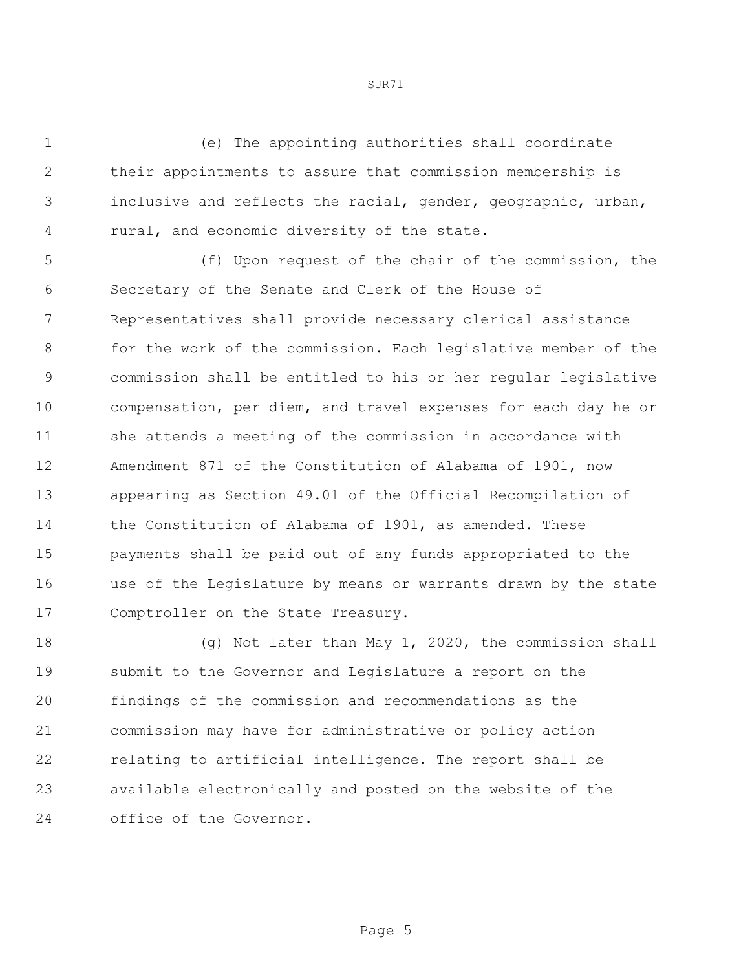(e) The appointing authorities shall coordinate their appointments to assure that commission membership is inclusive and reflects the racial, gender, geographic, urban, rural, and economic diversity of the state.

 (f) Upon request of the chair of the commission, the Secretary of the Senate and Clerk of the House of Representatives shall provide necessary clerical assistance for the work of the commission. Each legislative member of the commission shall be entitled to his or her regular legislative compensation, per diem, and travel expenses for each day he or she attends a meeting of the commission in accordance with Amendment 871 of the Constitution of Alabama of 1901, now appearing as Section 49.01 of the Official Recompilation of the Constitution of Alabama of 1901, as amended. These payments shall be paid out of any funds appropriated to the use of the Legislature by means or warrants drawn by the state 17 Comptroller on the State Treasury.

 (g) Not later than May 1, 2020, the commission shall submit to the Governor and Legislature a report on the findings of the commission and recommendations as the commission may have for administrative or policy action relating to artificial intelligence. The report shall be available electronically and posted on the website of the office of the Governor.